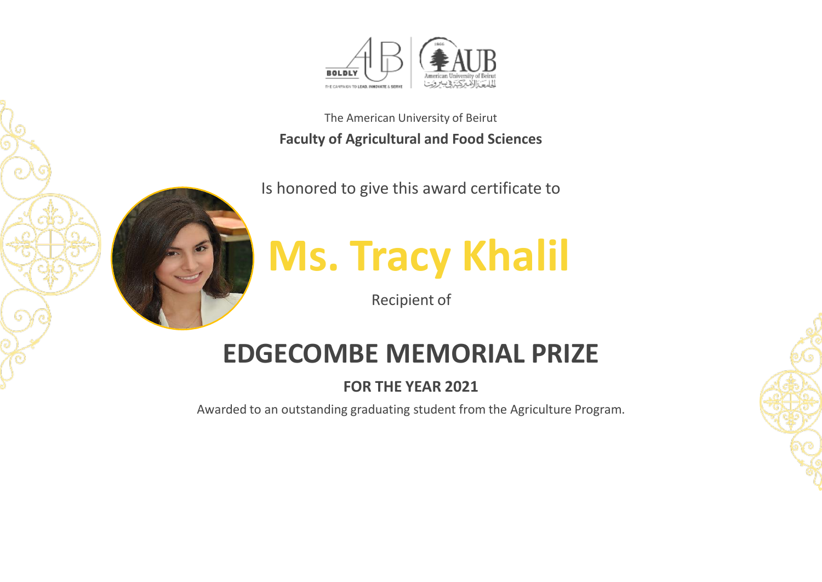

Is honored to give this award certificate to



**Ms. Tracy Khalil**

Recipient of

## **EDGECOMBE MEMORIAL PRIZE**

### **FOR THE YEAR 2021**

Awarded to an outstanding graduating student from the Agriculture Program.

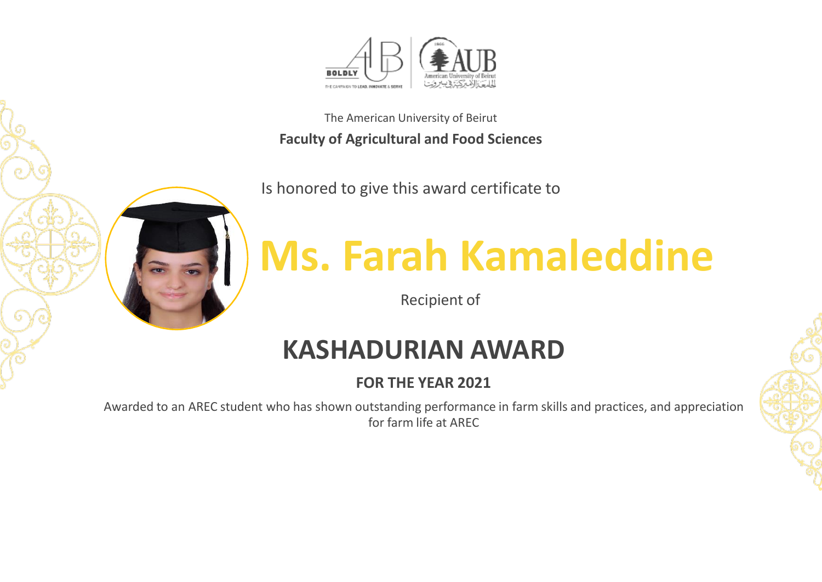

Is honored to give this award certificate to



# **Ms. Farah Kamaleddine**

Recipient of

## **KASHADURIAN AWARD**

## **FOR THE YEAR 2021**

Awarded to an AREC student who has shown outstanding performance in farm skills and practices, and appreciation for farm life at AREC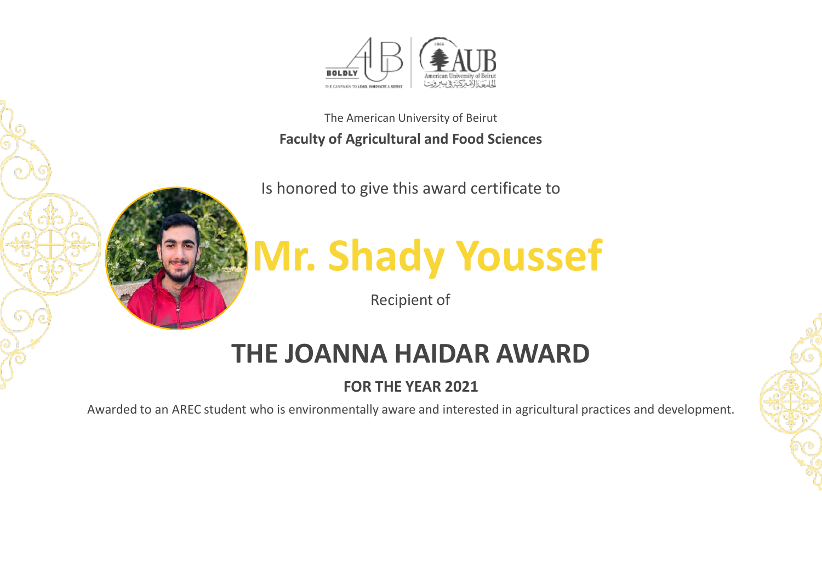

Is honored to give this award certificate to



# **Mr. Shady Youssef**

Recipient of

## **THE JOANNA HAIDAR AWARD**

## **FOR THE YEAR 2021**

Awarded to an AREC student who is environmentally aware and interested in agricultural practices and development.

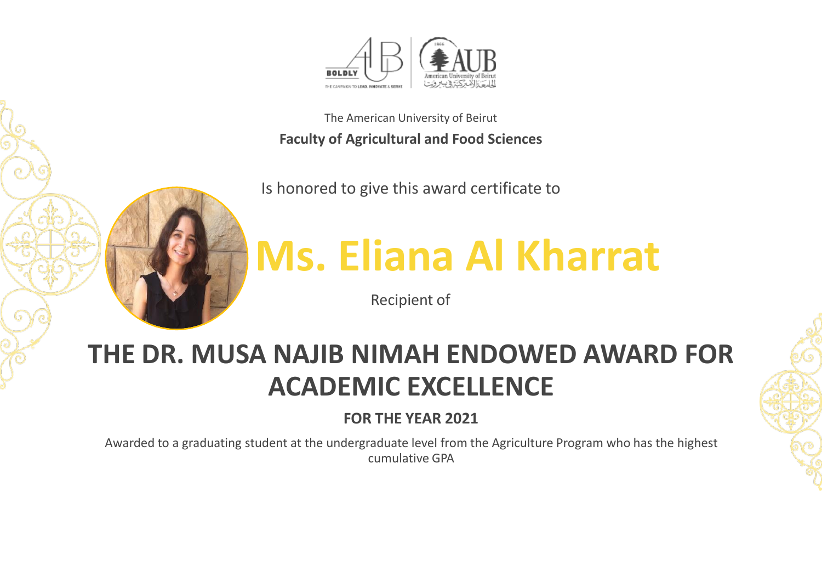

Is honored to give this award certificate to



Recipient of

## **THE DR. MUSA NAJIB NIMAH ENDOWED AWARD FOR ACADEMIC EXCELLENCE**

### **FOR THE YEAR 2021**

Awarded to a graduating student at the undergraduate level from the Agriculture Program who has the highest cumulative GPA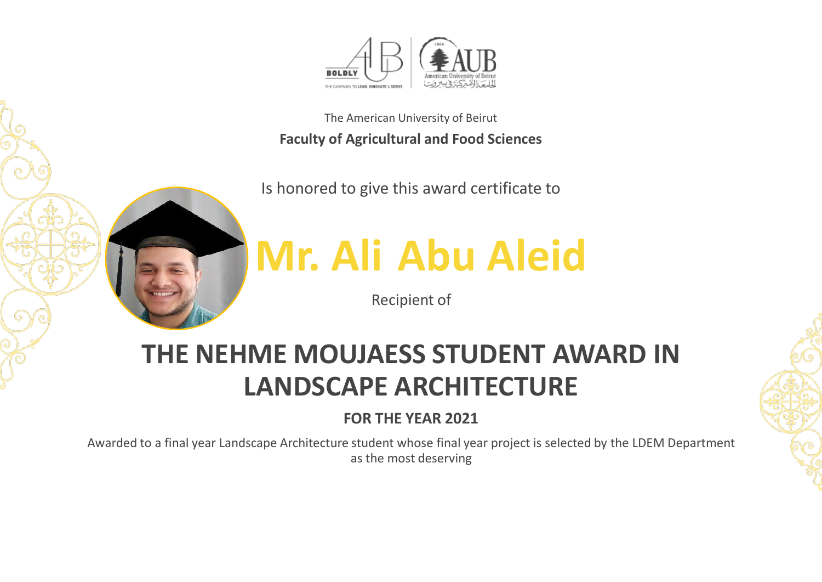

Is honored to give this award certificate to



## **Mr. Ali Abu Aleid**

Recipient of

## **THE NEHME MOUJAESS STUDENT AWARD IN LANDSCAPE ARCHITECTURE**

## **FOR THE YEAR 2021**

Awarded to a final year Landscape Architecture student whose final year project is selected by the LDEM Department as the most deserving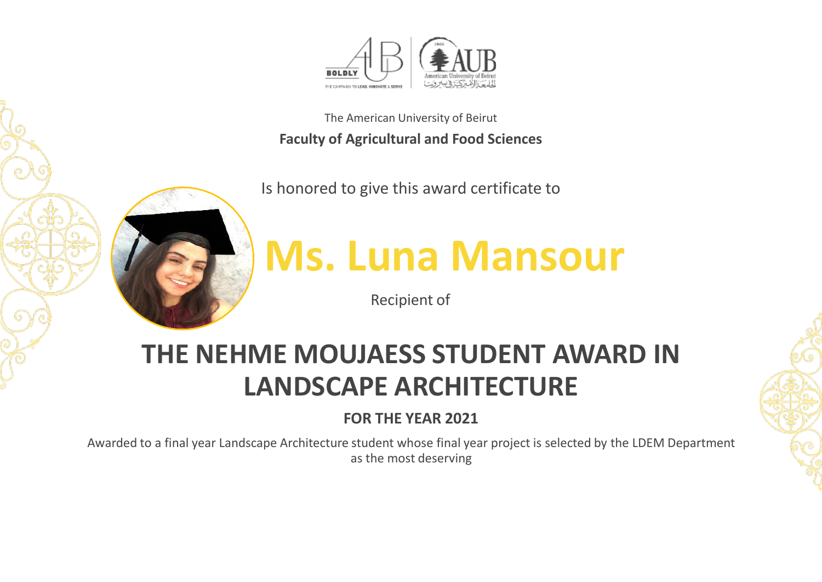

Is honored to give this award certificate to



# **Ms. Luna Mansour**

Recipient of

## **THE NEHME MOUJAESS STUDENT AWARD IN LANDSCAPE ARCHITECTURE**

## **FOR THE YEAR 2021**

Awarded to a final year Landscape Architecture student whose final year project is selected by the LDEM Department as the most deserving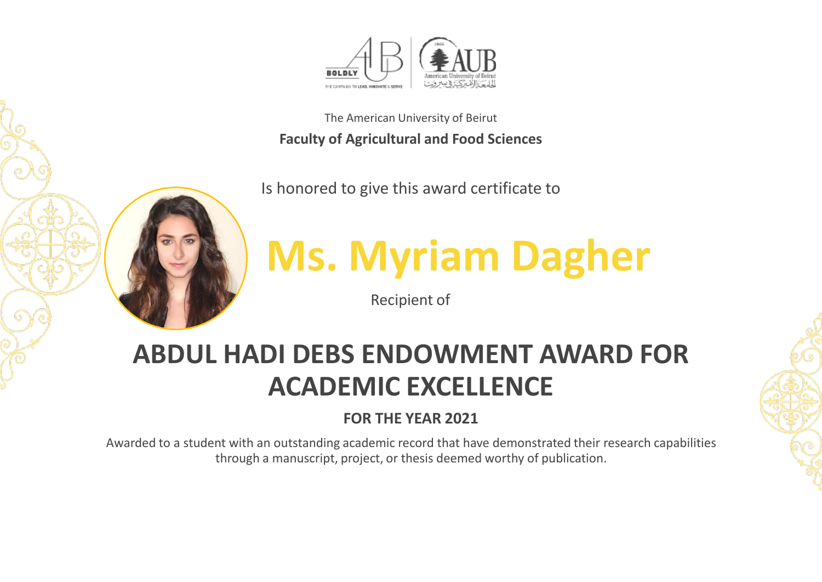

Is honored to give this award certificate to



# **Ms. Myriam Dagher**

Recipient of

## **ABDUL HADI DEBS ENDOWMENT AWARD FOR ACADEMIC EXCELLENCE**

## **FOR THE YEAR 2021**

Awarded to a student with an outstanding academic record that have demonstrated their research capabilities through a manuscript, project, or thesis deemed worthy of publication.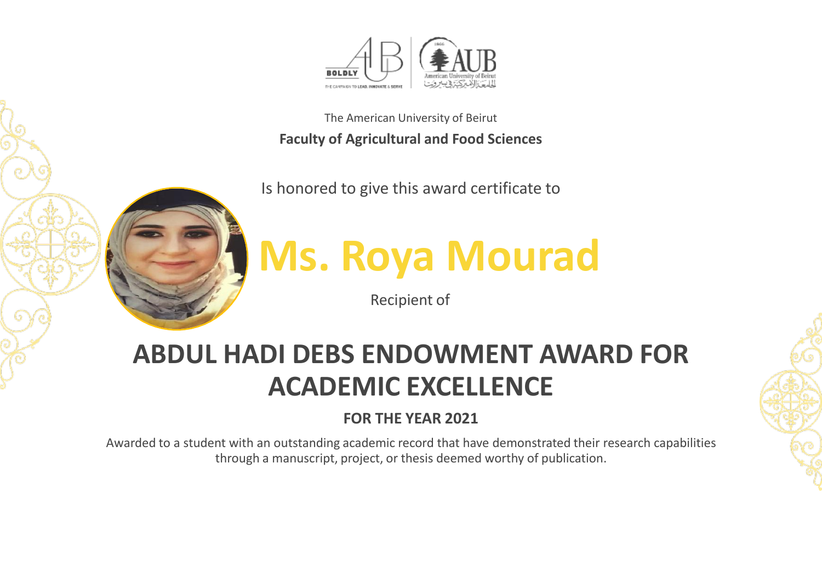

Is honored to give this award certificate to



**Ms. Roya Mourad**

Recipient of

## **ABDUL HADI DEBS ENDOWMENT AWARD FOR ACADEMIC EXCELLENCE**

### **FOR THE YEAR 2021**

Awarded to a student with an outstanding academic record that have demonstrated their research capabilities through a manuscript, project, or thesis deemed worthy of publication.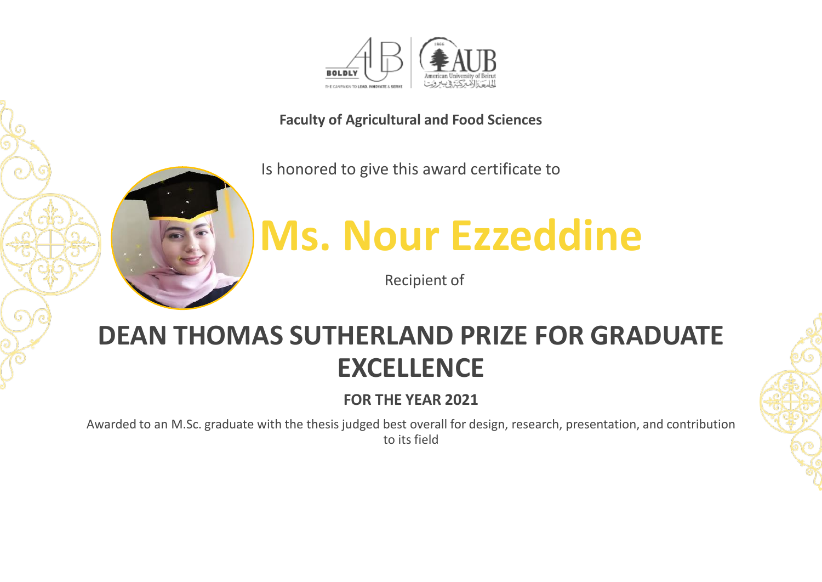

#### **Faculty of Agricultural and Food Sciences**

Is honored to give this award certificate to



Recipient of

## **DEAN THOMAS SUTHERLAND PRIZE FOR GRADUATE EXCELLENCE**

**FOR THE YEAR 2021**

Awarded to an M.Sc. graduate with the thesis judged best overall for design, research, presentation, and contribution to its field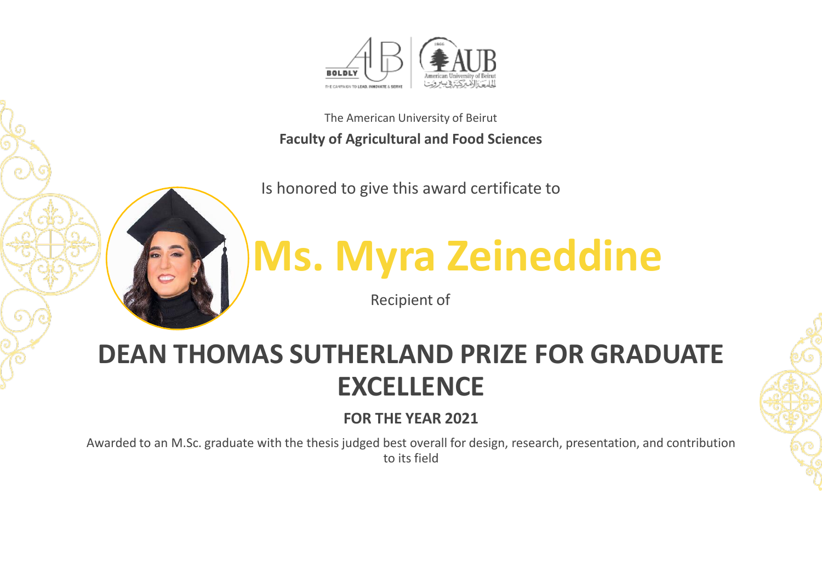

Is honored to give this award certificate to



# **Ms. Myra Zeineddine**

Recipient of

## **DEAN THOMAS SUTHERLAND PRIZE FOR GRADUATE EXCELLENCE**

### **FOR THE YEAR 2021**

Awarded to an M.Sc. graduate with the thesis judged best overall for design, research, presentation, and contribution to its field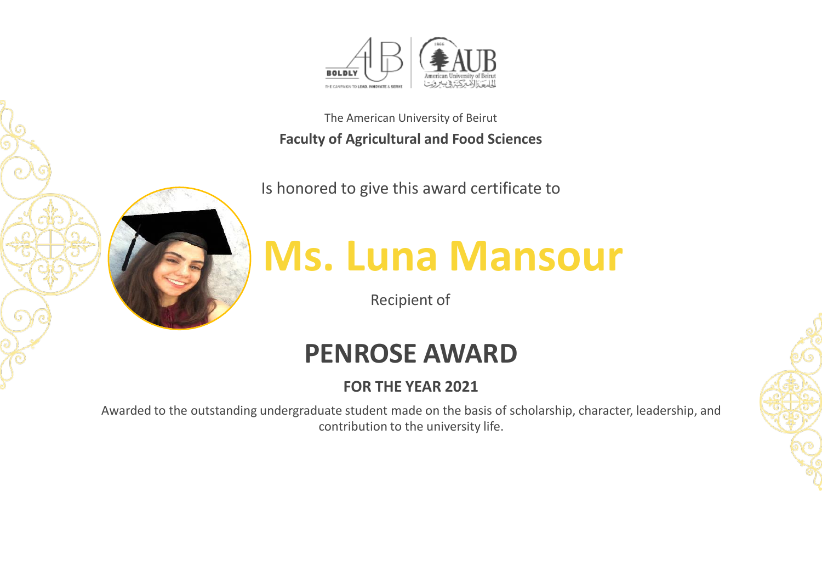

Is honored to give this award certificate to



# **Ms. Luna Mansour**

Recipient of

## **PENROSE AWARD**

## **FOR THE YEAR 2021**

Awarded to the outstanding undergraduate student made on the basis of scholarship, character, leadership, and contribution to the university life.

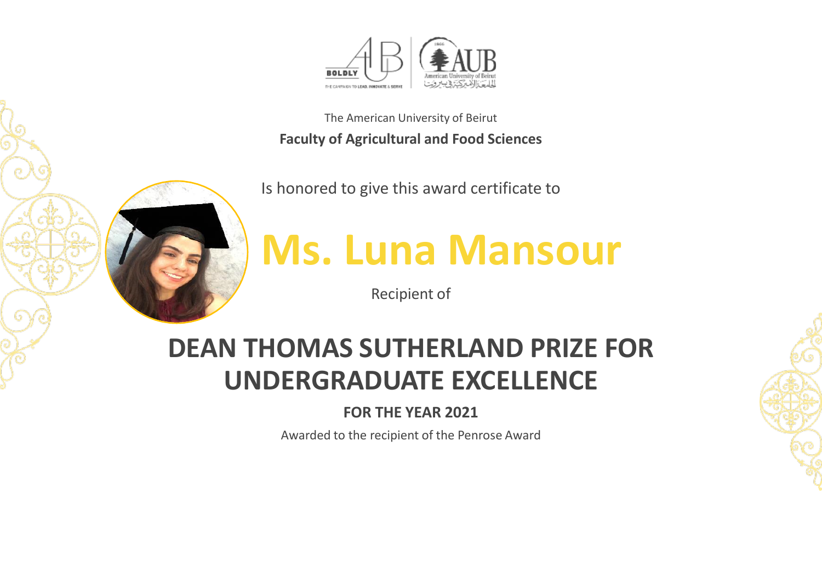

Is honored to give this award certificate to



## **Ms. Luna Mansour**

Recipient of

## **DEAN THOMAS SUTHERLAND PRIZE FOR UNDERGRADUATE EXCELLENCE**

### **FOR THE YEAR 2021**

Awarded to the recipient of the Penrose Award

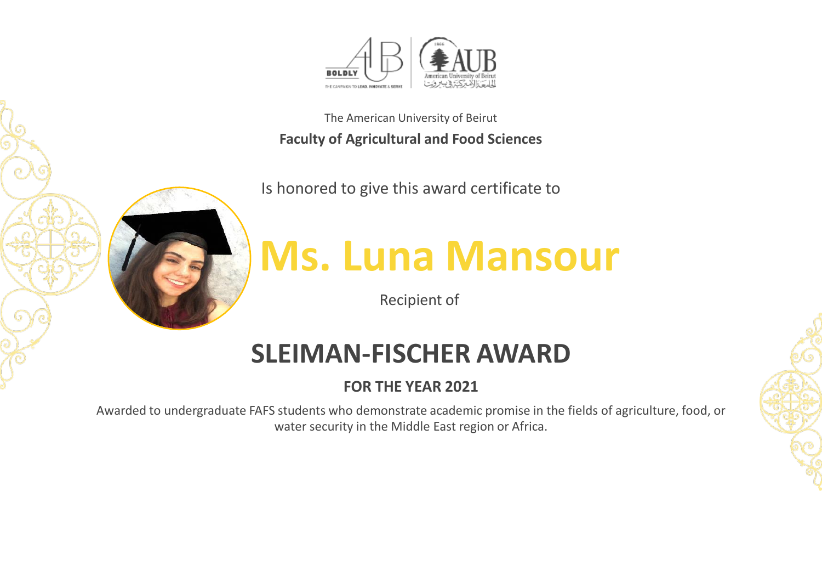

Is honored to give this award certificate to



# **Ms. Luna Mansour**

Recipient of

## **SLEIMAN-FISCHER AWARD**

### **FOR THE YEAR 2021**

Awarded to undergraduate FAFS students who demonstrate academic promise in the fields of agriculture, food, or water security in the Middle East region or Africa.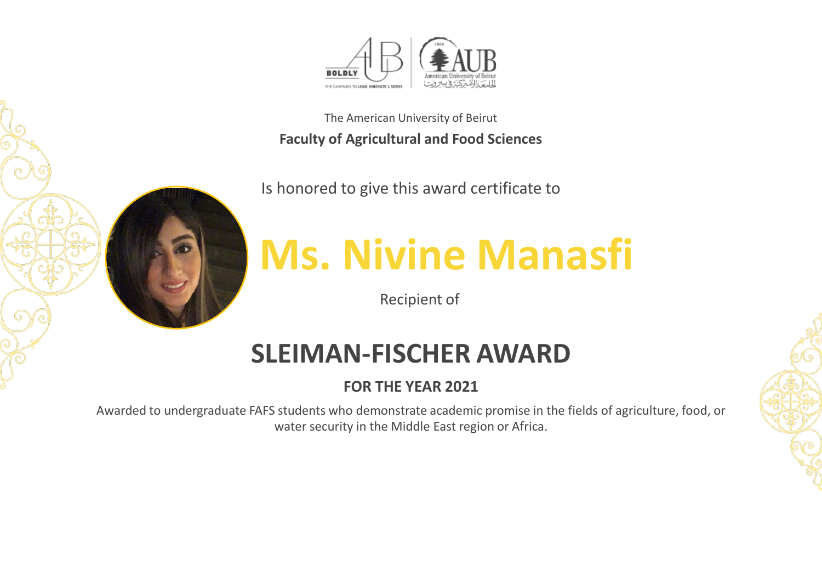

Is honored to give this award certificate to



# **Ms. Nivine Manasfi**

Recipient of

## **SLEIMAN-FISCHER AWARD**

### **FOR THE YEAR 2021**

Awarded to undergraduate FAFS students who demonstrate academic promise in the fields of agriculture, food, or water security in the Middle East region or Africa.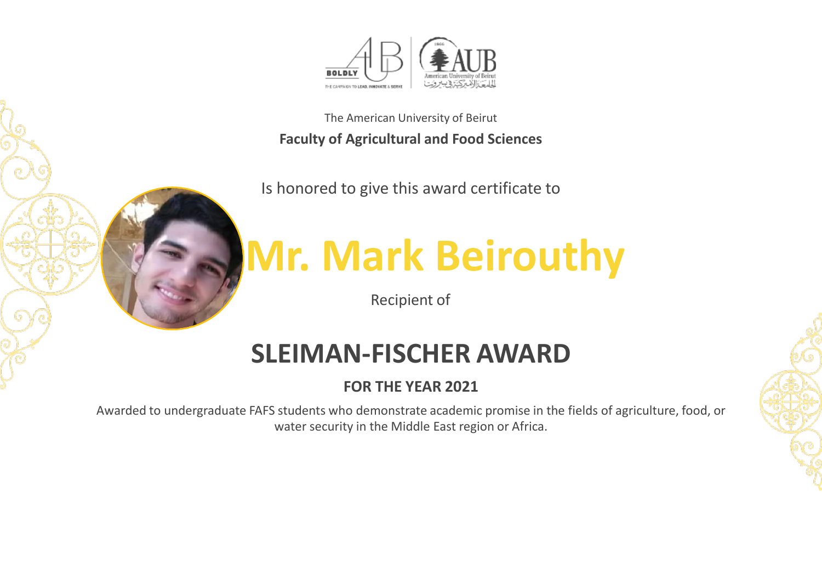

Is honored to give this award certificate to



# **Mr. Mark Beirouthy**

Recipient of

## **SLEIMAN-FISCHER AWARD**

### **FOR THE YEAR 2021**

Awarded to undergraduate FAFS students who demonstrate academic promise in the fields of agriculture, food, or water security in the Middle East region or Africa.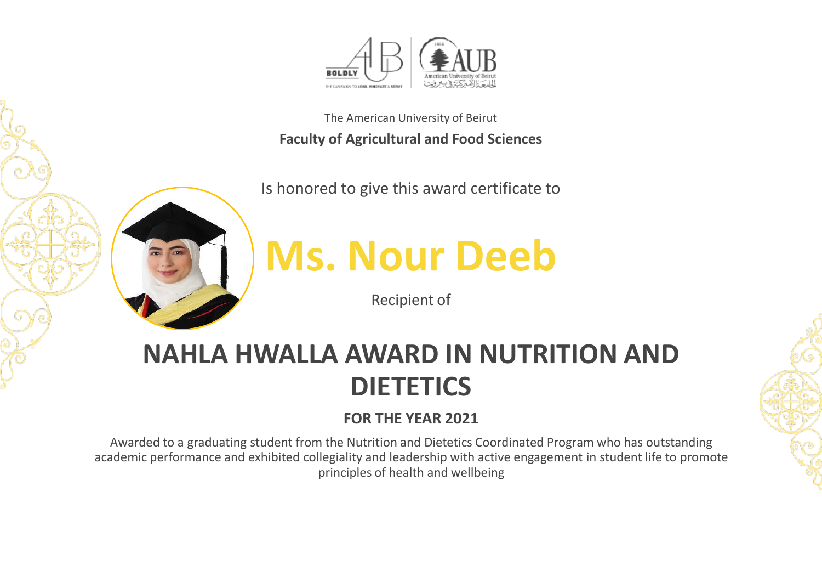

Is honored to give this award certificate to



## **Ms. Nour Deeb**

Recipient of

## **NAHLA HWALLA AWARD IN NUTRITION AND DIETETICS**

## **FOR THE YEAR 2021**

Awarded to a graduating student from the Nutrition and Dietetics Coordinated Program who has outstanding academic performance and exhibited collegiality and leadership with active engagement in student life to promote principles of health and wellbeing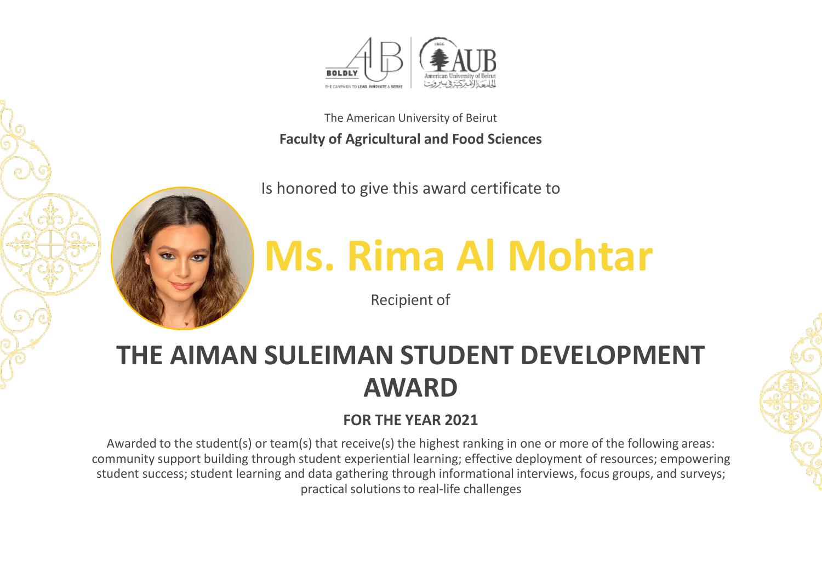

Is honored to give this award certificate to



# **Ms. Rima Al Mohtar**

Recipient of

## **THE AIMAN SULEIMAN STUDENT DEVELOPMENT AWARD**

### **FOR THE YEAR 2021**

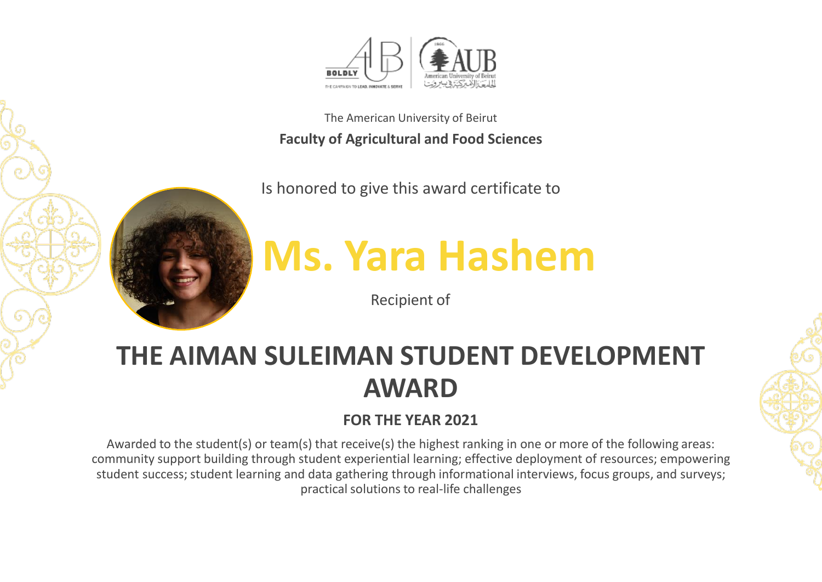

Is honored to give this award certificate to



## **Ms. Yara Hashem**

Recipient of

## **THE AIMAN SULEIMAN STUDENT DEVELOPMENT AWARD**

### **FOR THE YEAR 2021**

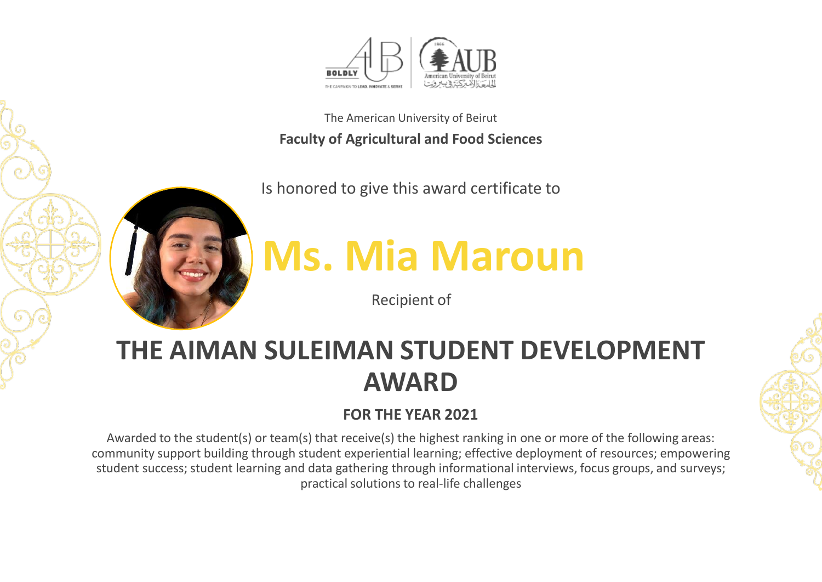

Is honored to give this award certificate to



# **Ms. Mia Maroun**

Recipient of

## **THE AIMAN SULEIMAN STUDENT DEVELOPMENT AWARD**

## **FOR THE YEAR 2021**

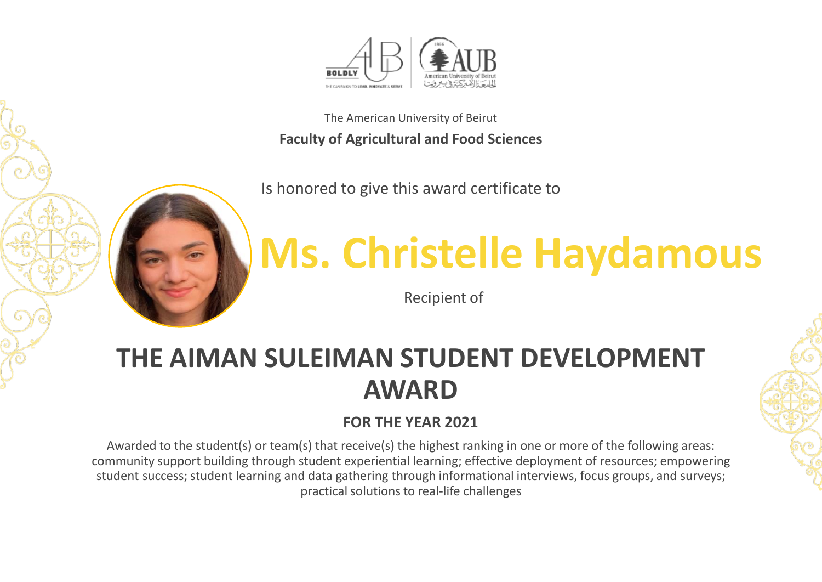

Is honored to give this award certificate to



# **Ms. Christelle Haydamous**

Recipient of

## **THE AIMAN SULEIMAN STUDENT DEVELOPMENT AWARD**

### **FOR THE YEAR 2021**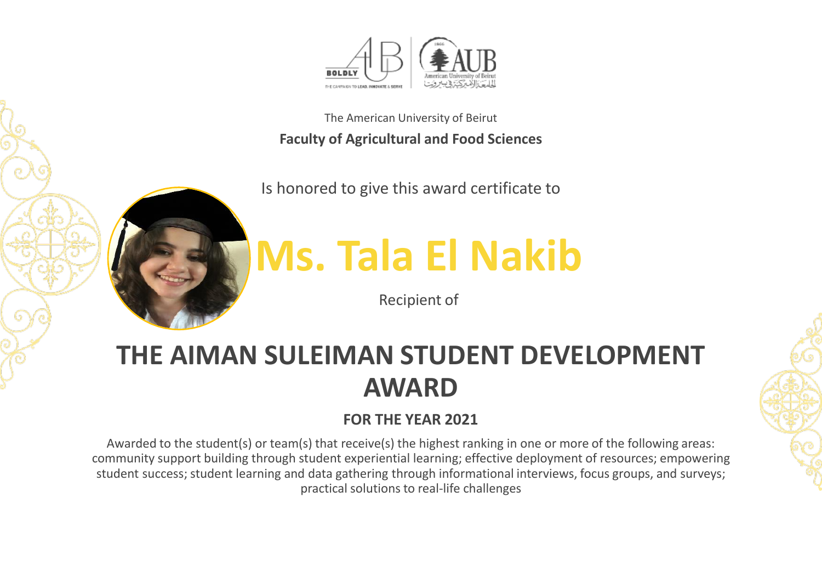

Is honored to give this award certificate to



## **Ms. Tala El Nakib**

Recipient of

## **THE AIMAN SULEIMAN STUDENT DEVELOPMENT AWARD**

### **FOR THE YEAR 2021**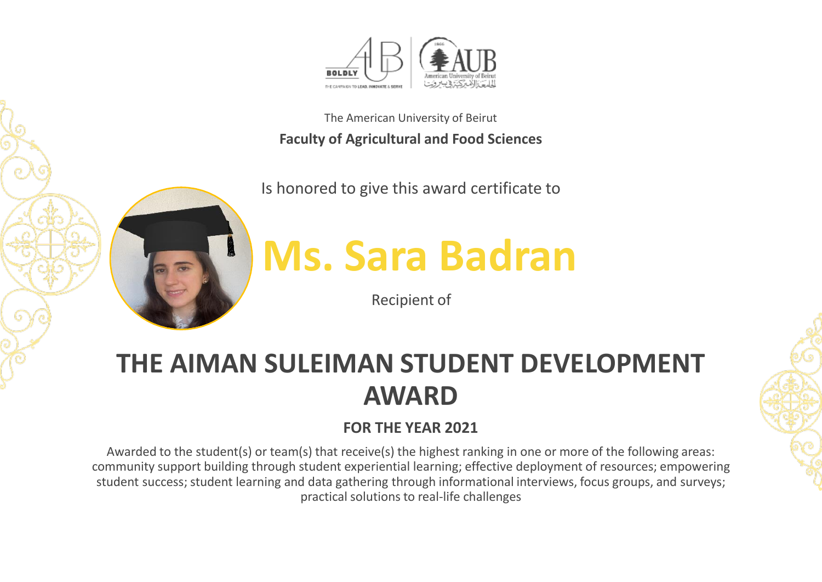

Is honored to give this award certificate to



## **Ms. Sara Badran**

Recipient of

## **THE AIMAN SULEIMAN STUDENT DEVELOPMENT AWARD**

## **FOR THE YEAR 2021**

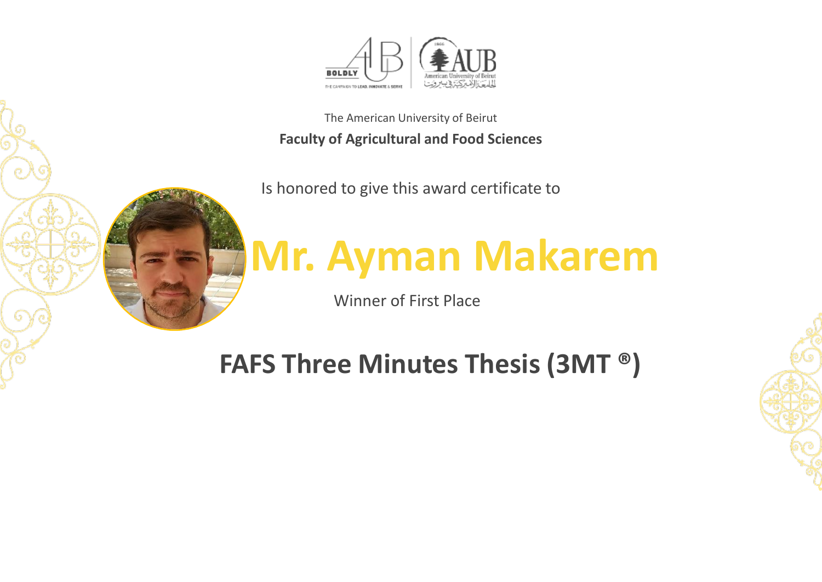

Is honored to give this award certificate to



# **Mr. Ayman Makarem**

Winner of First Place

## **FAFS Three Minutes Thesis (3MT ®)**

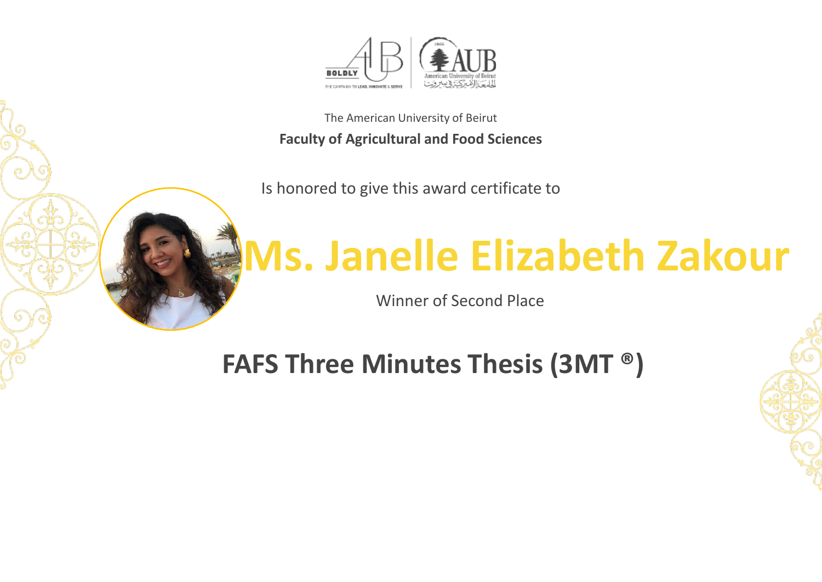

Is honored to give this award certificate to



## **Ms. Janelle Elizabeth Zakour**

Winner of Second Place

**FAFS Three Minutes Thesis (3MT ®)**

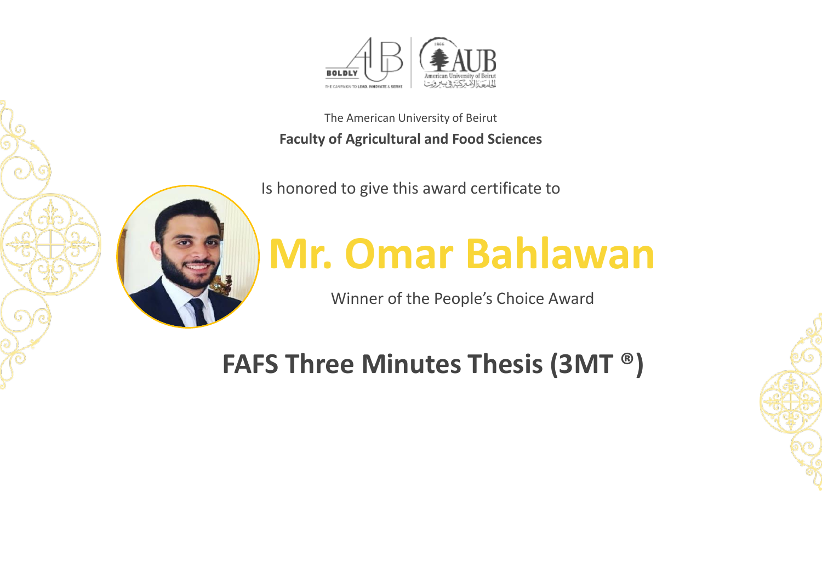

Is honored to give this award certificate to



# **Mr. Omar Bahlawan**

Winner of the People's Choice Award

## **FAFS Three Minutes Thesis (3MT ®)**

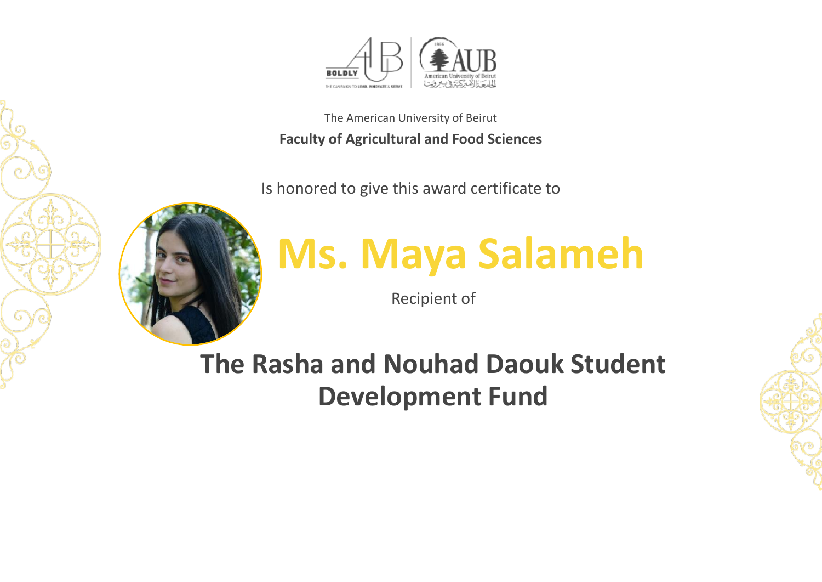

Is honored to give this award certificate to



# **Ms. Maya Salameh**

Recipient of

**The Rasha and Nouhad Daouk Student Development Fund**

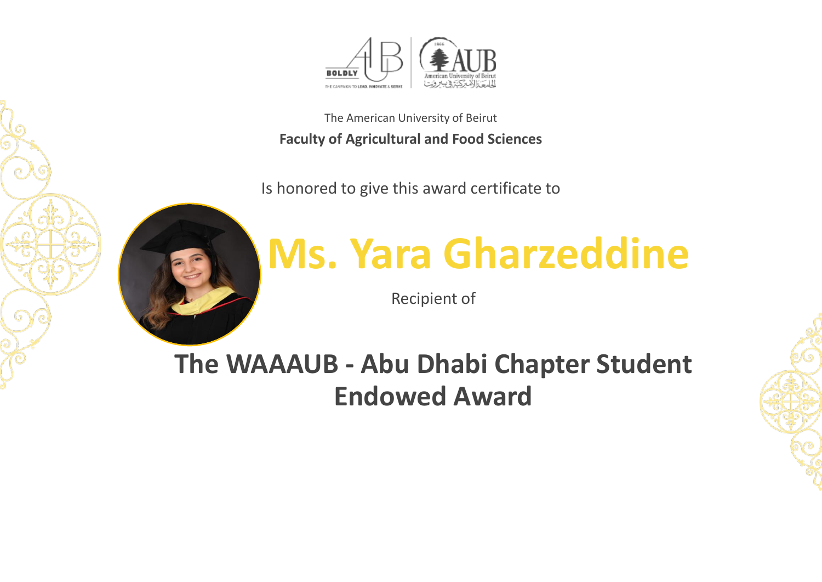

Is honored to give this award certificate to



## **Ms. Yara Gharzeddine**

Recipient of

**The WAAAUB - Abu Dhabi Chapter Student Endowed Award** 

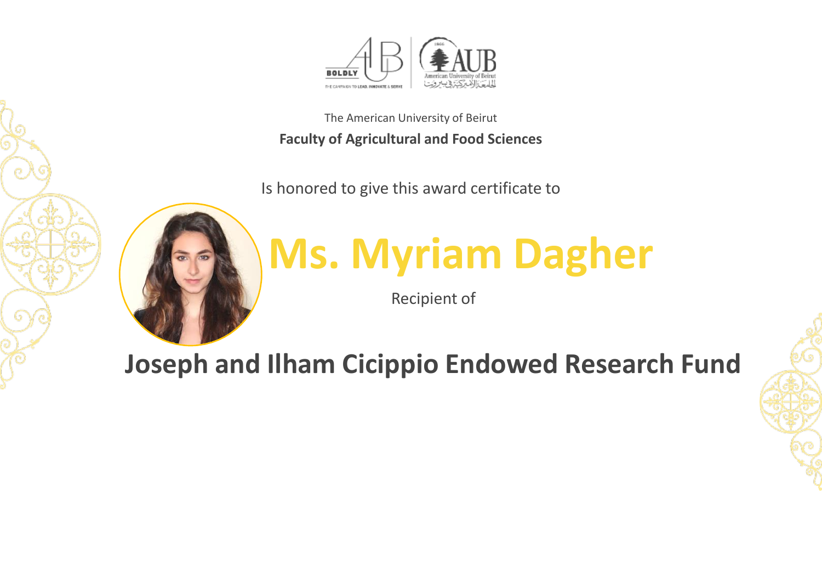

Is honored to give this award certificate to



# **Ms. Myriam Dagher**

Recipient of

**Joseph and Ilham Cicippio Endowed Research Fund**